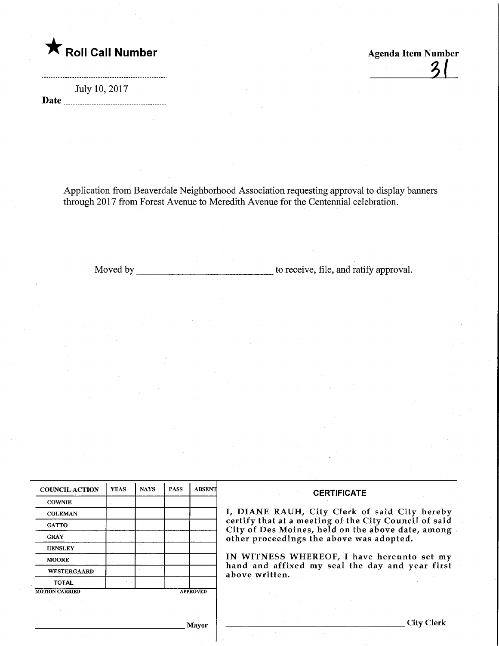

 $\frac{3}{2}$ 

July 10, 2017 Date

Application from Beaverdale Neighborhood Association requesting approval to display banners through 2017 from Forest Avenue to Meredith Avenue for the Centennial celebration.

Moved by the same state of the contract of the contract of the same to receive, file, and ratify approval.

| <b>COUNCIL ACTION</b> | <b>YEAS</b> | <b>NAYS</b> | <b>PASS</b> | <b>ABSENT</b>   |
|-----------------------|-------------|-------------|-------------|-----------------|
| <b>COWNIE</b>         |             |             |             |                 |
| <b>COLEMAN</b>        |             |             |             |                 |
| <b>GATTO</b>          |             |             |             |                 |
| <b>GRAY</b>           |             |             |             |                 |
| <b>HENSLEY</b>        |             |             |             |                 |
| <b>MOORE</b>          |             |             |             |                 |
| <b>WESTERGAARD</b>    |             |             |             |                 |
| <b>TOTAL</b>          |             |             |             |                 |
| <b>MOTION CARRIED</b> |             |             |             | <b>APPROVED</b> |

#### **CERTIFICATE**

, DIANE RAUH, City Clerk of said City hereby certify that at a meeting of the City Council of said  $\square$ ity of Des Moines, held on the above date, among ther proceedings the above was adopted.

IN WITNESS WHEREOF, I have hereunto set my and and affixed my seal the day and year first bove written.

<sub>-</sub> Mayor

City Clerk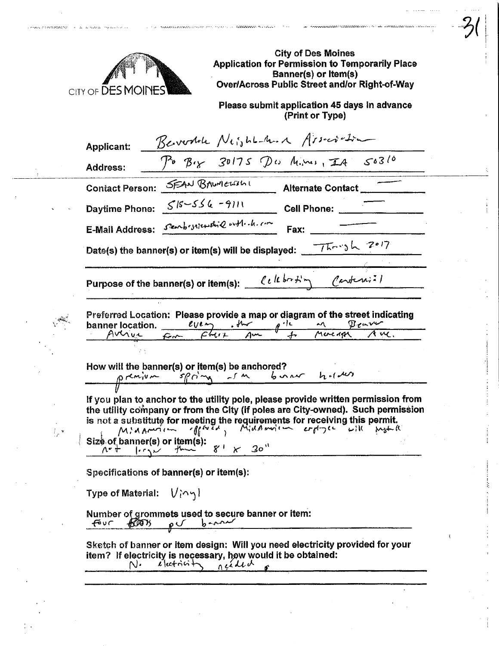

**A Community of Products and** 

.<br>Waliofariki mwaka 1992

ŧ,

City of Des Moines Application for Permission to Temporarily Place Banner(s) or Item(s) Over/Across Public Street and/or Right-of-Way

 $\mathcal{Y}(\mathcal{X})$ 

 $\sim$  . . . . **Contractor** 

Please submit application 45 days in advance (Print or Type)

|                                                                                                                                                                      | $P0 B1$ 30175 Dw Mines, IA 50310                                                                               |  | Berodah Night-And Asserter |  |
|----------------------------------------------------------------------------------------------------------------------------------------------------------------------|----------------------------------------------------------------------------------------------------------------|--|----------------------------|--|
| <b>Address:</b>                                                                                                                                                      |                                                                                                                |  |                            |  |
| Contact Person: SEAN BAWNEWShi                                                                                                                                       |                                                                                                                |  | Alternate Contact          |  |
|                                                                                                                                                                      |                                                                                                                |  | Cell Phone:                |  |
| Daytime Phone: 515-556-9111<br>E-Mail Address: Seenbrystewshil with the com                                                                                          |                                                                                                                |  |                            |  |
| Date(s) the banner(s) or item(s) will be displayed: $\sqrt{76}$ $\sim$ 3 $\sqrt{207}$                                                                                |                                                                                                                |  |                            |  |
|                                                                                                                                                                      | Purpose of the banner(s) or item(s): $\ell \ell \, l \, l \, l \, \cdots$ $\ell \, l \, l \, l \, l \, \cdots$ |  |                            |  |
|                                                                                                                                                                      |                                                                                                                |  |                            |  |
| How will the banner(s) or item(s) be anchored?<br>$\rho \sim \frac{S_0^2 C_1^2 C_2^2}{S_1^2 C_1^2 C_2^2}$                                                            |                                                                                                                |  |                            |  |
| If you plan to anchor to the utility pole, please provide written permission from<br>the utility company or from the City (if poles are City-owned). Such permission |                                                                                                                |  |                            |  |
| Size of banner(s) or item(s):<br>$\begin{array}{ccc}\n\wedge^2 &   & \wedge^2 & \wedge^2 \\ \hline\n\end{array}$                                                     |                                                                                                                |  |                            |  |
|                                                                                                                                                                      | Specifications of banner(s) or item(s):                                                                        |  |                            |  |
| Type of Material: $\mathsf{U}$ (^ ງ )                                                                                                                                |                                                                                                                |  |                            |  |
| FOUT                                                                                                                                                                 | Number of grommets used to secure banner or item:<br>$600\%$ p b m                                             |  |                            |  |

**Providence of the Experimental Activities**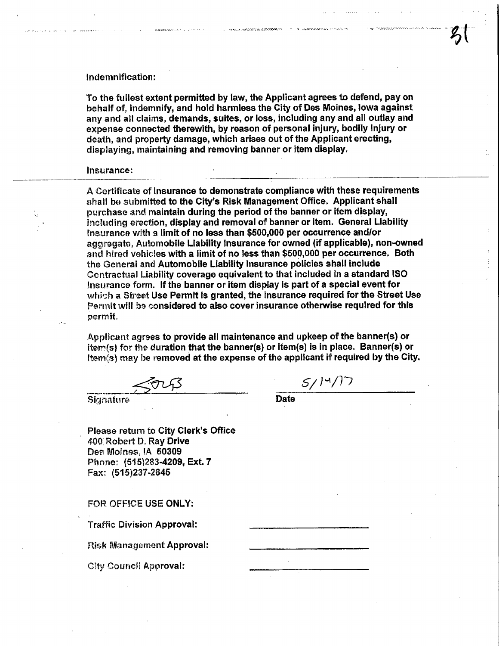#### Indemnification;

To the fullest extent permitted by law, the Applicant agrees to defend, pay on behalf of, indemnify, and hold harmless the City of Des Moines, Iowa against any and all claims, demands, suites, or loss, including any and all outlay and expense connected therewith, by reason of personal injury, bodily injury or death, and property damage, which arises out of the Applicant erecting, dispiaying, maintaining and removing banner or item display.

#### Insurance:

A Certificate of Insurance to demonstrate compliance with these requirements shall be submitted to the City's Risk Management Office. Applicant shall purchase and maintain during the period of the banner or item display, including erection, display and removal of banner or item. General Liability insurance with a limit of no less than \$500,000 per occurrence and/or aggregate, Automobile Liability Insurance for owned (if applicable), non-owned and hired vehicles with a limit of no less than \$500,000 per occurrence. Both the Generai and Automobile Liability Insurance policies shall include Contractual Liability coverage equivalent to that included in a standard ISO Insurance form. if the banner or item display Is part of a special event for which a Street Use Permit is granted, the insurance required for the Street Use Permit will ba considered to also cover insurance otherwise required for this permit.

Applicant agrees to provide all maintenance and upkeep of the banner(s) or item(s) for the duration that the banner(s) or item(s) is in place. Banner(s) or item(s) may be removed at the expense of the applicant if required by the City.<br> $\sqrt{2\sqrt{3}}$ 

 $SUTS$  Date

Please return to City Clerk's Office 400 Robert D, Ray Drive Des Moines, IA 50309 Phone: (515)283-4209, Ext. 7 Fax- (515)237.2645

### FOR OFFICE USE ONLY:

Traffic Division Approval:

Risk Management Approval:

**City Council Approval:**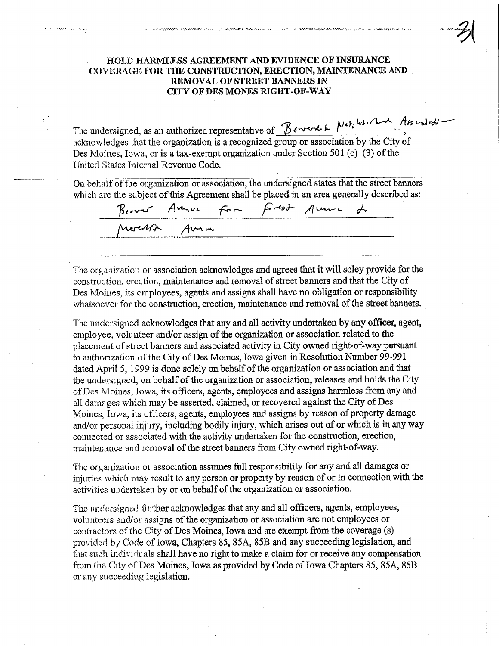## HOLD HARMLESS AGREEMENT AND EVIDENCE OF INSURANCE COVERAGE FOR THE CONSTRUCTION, ERECTION, MAINTENANCE AND REMOVAL OF STREET BANNERS IN CITY OF DES MONES RIGHT-OF-WAY

THE REPORT OF PERSONAL PROPERTY AND RELEASED FOR A STRUCTURE OF A STRUCTURE OF A STRUCTURE OF A STRUCTURE OF A

The concentration of the account of the concentration in the concentration of the concentration of the concentration of the concentration of the concentration of the concentration of the concentration of the concentration

couples and a space of the space of

 $f_{\alpha\beta}$  his character of  $f_{\alpha\beta}$ The undersigned, as an authorized representative of  $\Delta$   $\cdots$   $\cdots$   $\cdots$   $\cdots$ acknowledges that the organization is a recognized group or association by the City of Des Moines, Iowa, or is a tax-exempt organization under Section 501 (c) (3) of the United States taternal Revenue Code.

On behalf of the organization or association, the undersigned states that the street banners which are the subject of this Agreement shall be placed in an area generally described as:

Because Avenue For Fortat Avenue de  $47~$  Avru

The organization or association acknowledges and agrees that it will soley provide for the construction, erection, maintenance and removal of street banners and that the City of Des Moines, its employees, agents and assigns shall have no obligation or responsibility whatsoever for the construction, erection, maintenance and removal of the street banners.

The undersigned acknowledges that any and all activity undertaken by any officer, agent, employee, volunteer and/or assign of the organization or association related to the placement of street banners and associated activity ia City owned right-of-way pursuant to authorization of the City of Des Moines, Iowa given in Resolution Number 99-991 dated April 5,1999 is done solely on behalf of the organization or association and that the undersigned, on behalf of the organization or association, releases and holds fhe City of Des Moines, Iowa, its officers, agents, employees and assigns harmless from any and all damages which may be asserted, claimed, or recovered against the City of Des Moines;, Iowa, its officers, agents, employees and assigns by reason of property damage and/or personal injury, including bodily injury, which arises out of or which is in any way connected or associated with the activity undertaken for the construction, erection, mainter ance and removal of the street banners from City owned right-of-way.

The organization or association assumes fall responsibility for any and all damages or injuries which may result to any person or property by reason of or in connection with the activities undertaken by or on behalf of the organization or association.

The undersigned further acknowledges that any and all officers, agents, employees, volunteers and/or assigns of the organization or association are not employees or contractors of the City of Des Moines, Iowa and are exempt from the coverage  $(s)$ provided by Code of Iowa, Chapters 85, 85A, 85B and any succeeding legislation, and that such individuals shall have no right to make a claim for or receive any compensation from the City of Des Moines, Iowa as provided by Code of Iowa Chapters 85, 85A, 85B or any succeeding legislation.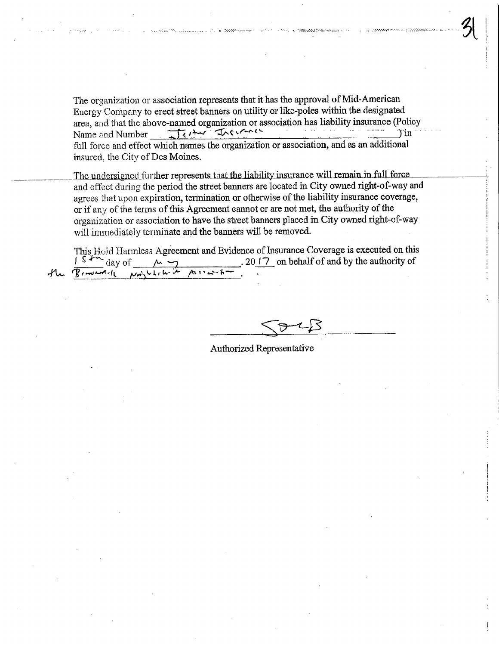The organization or association represents that it has the approval of Mid-American Energy Company to erect street banners on utility or like-poles within the designated area, and that the above-named organization or association has liability insurance (Policy<br>Name and Number<br> $\overline{f}$ Name and Number . TH, '^ '^ ^^c" ' :,",;',\_ - "" Tin full force and effect which names the organization or association, and as an additional insured, the City of Des Moines.

The undersigned further represents that the liability insurance will remain in full force and effect during the period the street banners are located in City owned right-of-way and agrees that upon expiration, termination or otherwise of the liability insurance coverage, or if any of the terms of this Agreement cannot or are not met, the authority of the organization or association to have the street banners placed in City owned right-of-way will immediately terminate and the banners will be removed.

This Hold Harmless Agreement and Evidence of Insurance Coverage is executed on this  $\frac{1}{s} \sum_{d} \frac{1}{s} \sum_{d} \frac{1}{d}$  and  $\sum_{d} \frac{1}{s} \sum_{d} \frac{1}{s} \sum_{e} \frac{1}{s} \sum_{e} \frac{1}{s} \sum_{e} \frac{1}{s} \sum_{e} \frac{1}{s} \sum_{e} \frac{1}{s} \sum_{e} \frac{1}{s} \sum$  $20$   $\sqrt{7}$  on behalf of and by the authority of  $\frac{1}{\sqrt{3}}\frac{\sqrt{3+\sqrt{3-\frac{2}{3-\frac{2}{3-\frac{2}{3-\frac{2}{3-\frac{2}{3-\frac{2}{3-\frac{2}{3-\frac{2}{3-\frac{2}{3-\frac{2}{3-\frac{2}{3-\frac{2}{3-\frac{2}{3-\frac{2}{3-\frac{2}{3-\frac{2}{3-\frac{2}{3-\frac{2}{3-\frac{2}{3-\frac{2}{3-\frac{2}{3-\frac{2}{3-\frac{2}{3-\frac{2}{3-\frac{2}{3-\frac{2}{3-\frac{2}{3-\frac{2}{3-\frac{2}{3-\frac{2}{3-\frac{2}{3-\frac{2}{3-\frac{2}{3-\frac$ 

 $SPLB$ 

''^i.-.ri^?.'.--^,.-.-.:^:/.

八 | |

Authorized Representative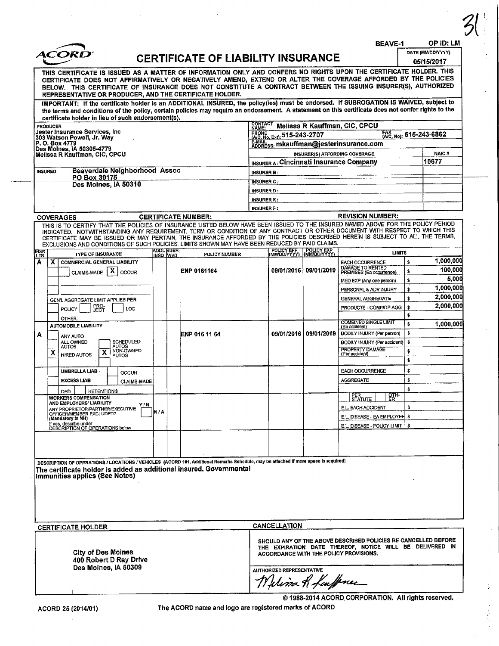|                                                                                | ACORI                                                                                                                                                                                                                                                                                                                                                                                                                                                                                                                                                     |                    |             |                         | <b>CERTIFICATE OF LIABILITY INSURANCE</b> |                                    |                                                    |                             | <b>BEAVE-1</b>                                                                                                                                                       |          | OP ID: LM<br>DATE (MM/DD/YYYY)<br>05/15/2017 |
|--------------------------------------------------------------------------------|-----------------------------------------------------------------------------------------------------------------------------------------------------------------------------------------------------------------------------------------------------------------------------------------------------------------------------------------------------------------------------------------------------------------------------------------------------------------------------------------------------------------------------------------------------------|--------------------|-------------|-------------------------|-------------------------------------------|------------------------------------|----------------------------------------------------|-----------------------------|----------------------------------------------------------------------------------------------------------------------------------------------------------------------|----------|----------------------------------------------|
|                                                                                | THIS CERTIFICATE IS ISSUED AS A MATTER OF INFORMATION ONLY AND CONFERS NO RIGHTS UPON THE CERTIFICATE HOLDER. THIS<br>CERTIFICATE DOES NOT AFFIRMATIVELY OR NEGATIVELY AMEND, EXTEND OR ALTER THE COVERAGE AFFORDED BY THE POLICIES<br>BELOW. THIS CERTIFICATE OF INSURANCE DOES NOT CONSTITUTE A CONTRACT BETWEEN THE ISSUING INSURER(S), AUTHORIZED<br>REPRESENTATIVE OR PRODUCER, AND THE CERTIFICATE HOLDER.<br>IMPORTANT: If the certificate holder is an ADDITIONAL INSURED, the policy(ies) must be endorsed. If SUBROGATION IS WAIVED, subject to |                    |             |                         |                                           |                                    |                                                    |                             |                                                                                                                                                                      |          |                                              |
|                                                                                | the terms and conditions of the policy, certain policies may require an endorsement. A statement on this certificate does not confer rights to the<br>certificate holder in lieu of such endorsement(s).                                                                                                                                                                                                                                                                                                                                                  |                    |             |                         |                                           |                                    |                                                    |                             |                                                                                                                                                                      |          |                                              |
| <b>PRODUCER</b>                                                                |                                                                                                                                                                                                                                                                                                                                                                                                                                                                                                                                                           |                    |             |                         |                                           | <b>CONTACT</b><br>NAME:            |                                                    |                             | Melissa R Kauffman, CIC, CPCU                                                                                                                                        |          |                                              |
| Jester Insurance Services, Inc<br>303 Watson Powell, Jr. Way<br>P. O. Box 4779 |                                                                                                                                                                                                                                                                                                                                                                                                                                                                                                                                                           |                    |             |                         |                                           | PHONE (A/C, No, Ext): 515-243-2707 |                                                    | FAX (A/C, No): 515-243-6862 |                                                                                                                                                                      |          |                                              |
|                                                                                | Des Moines, IA 50305-4779                                                                                                                                                                                                                                                                                                                                                                                                                                                                                                                                 |                    |             |                         |                                           |                                    |                                                    |                             | E-MAIL<br>ADDRESS: mkauffman@jesterinsurance.com<br>INSURER(S) AFFORDING COVERAGE                                                                                    |          | <b>NAIC#</b>                                 |
|                                                                                | Melissa R Kauffman, CIC, CPCU                                                                                                                                                                                                                                                                                                                                                                                                                                                                                                                             |                    |             |                         |                                           |                                    |                                                    |                             | INSURER A: Cincinnati Insurance Company                                                                                                                              |          | 10677                                        |
| <b>INSURED</b>                                                                 | Beaverdale Neighborhood Assoc                                                                                                                                                                                                                                                                                                                                                                                                                                                                                                                             |                    |             |                         |                                           | <b>INSURER B:</b>                  |                                                    |                             |                                                                                                                                                                      |          |                                              |
|                                                                                | PO Box 30175<br>Des Moines, IA 50310                                                                                                                                                                                                                                                                                                                                                                                                                                                                                                                      |                    |             |                         |                                           | <b>INSURER C:</b>                  |                                                    |                             |                                                                                                                                                                      |          |                                              |
|                                                                                |                                                                                                                                                                                                                                                                                                                                                                                                                                                                                                                                                           |                    |             |                         |                                           | <b>INSURER D:</b>                  |                                                    |                             |                                                                                                                                                                      |          |                                              |
|                                                                                |                                                                                                                                                                                                                                                                                                                                                                                                                                                                                                                                                           |                    |             |                         |                                           | <b>INSURER E:</b>                  |                                                    |                             |                                                                                                                                                                      |          |                                              |
|                                                                                | <b>COVERAGES</b>                                                                                                                                                                                                                                                                                                                                                                                                                                                                                                                                          |                    |             |                         | <b>CERTIFICATE NUMBER:</b>                | <b>INSURER F:</b>                  |                                                    |                             | <b>REVISION NUMBER:</b>                                                                                                                                              |          |                                              |
|                                                                                | THIS IS TO CERTIFY THAT THE POLICIES OF INSURANCE LISTED BELOW HAVE BEEN ISSUED TO THE INSURED NAMED ABOVE FOR THE POLICY PERIOD<br>INDICATED. NOTWITHSTANDING ANY REQUIREMENT, TERM OR CONDITION OF ANY CONTRACT OR OTHER DOCUMENT WITH RESPECT TO WHICH THIS<br>CERTIFICATE MAY BE ISSUED OR MAY PERTAIN, THE INSURANCE AFFORDED BY THE POLICIES DESCRIBED HEREIN IS SUBJECT TO ALL THE TERMS,<br>EXCLUSIONS AND CONDITIONS OF SUCH POLICIES. LIMITS SHOWN MAY HAVE BEEN REDUCED BY PAID CLAIMS.                                                        |                    |             |                         |                                           |                                    |                                                    |                             |                                                                                                                                                                      |          |                                              |
| <b>INSR</b><br>LTR                                                             | <b>TYPE OF INSURANCE</b>                                                                                                                                                                                                                                                                                                                                                                                                                                                                                                                                  |                    |             | ADDL SUBR<br>iinsd Iwvo | POLICY NUMBER                             |                                    | POLICY EFF POLICY EXP<br>(MM/DD/YYYY) (MM/DD/YYYY) |                             | <b>LIMITS</b>                                                                                                                                                        |          |                                              |
| X.                                                                             | COMMERCIAL GENERAL LIABILITY                                                                                                                                                                                                                                                                                                                                                                                                                                                                                                                              |                    |             |                         |                                           |                                    |                                                    |                             | <b>EACH OCCURRENCE</b>                                                                                                                                               | s        | 1,000,000                                    |
|                                                                                | CLAIMS-MADE   X   OCCUR                                                                                                                                                                                                                                                                                                                                                                                                                                                                                                                                   |                    |             |                         | ENP 0161164                               |                                    | 09/01/2016                                         | 09/01/2019                  | DAMAGE TO RENTED<br>PREMISES (Ea occurrence)                                                                                                                         | \$       | 100,000                                      |
|                                                                                |                                                                                                                                                                                                                                                                                                                                                                                                                                                                                                                                                           |                    |             |                         |                                           |                                    |                                                    |                             | MED EXP (Any one person)                                                                                                                                             | s.       | 5,000                                        |
|                                                                                |                                                                                                                                                                                                                                                                                                                                                                                                                                                                                                                                                           |                    |             |                         |                                           |                                    |                                                    |                             | PERSONAL & ADV INJURY                                                                                                                                                | \$       | 1,000,000                                    |
|                                                                                | GEN'L AGGREGATE LIMIT APPLIES PER:                                                                                                                                                                                                                                                                                                                                                                                                                                                                                                                        |                    |             |                         |                                           |                                    |                                                    |                             | <b>GENERAL AGGREGATE</b>                                                                                                                                             | ŝ        | 2,000,000<br>2,000,000                       |
|                                                                                | <b>FRO-</b><br>JECT<br>LOC<br><b>POLICY</b>                                                                                                                                                                                                                                                                                                                                                                                                                                                                                                               |                    |             |                         |                                           |                                    |                                                    |                             | PRODUCTS - COMP/OP AGG                                                                                                                                               | \$<br>\$ |                                              |
|                                                                                | OTHER:<br><b>AUTOMOBILE LIABILITY</b>                                                                                                                                                                                                                                                                                                                                                                                                                                                                                                                     |                    |             |                         |                                           |                                    |                                                    |                             | <b>COMBINED SINGLE LIMIT</b>                                                                                                                                         | \$       | 1,000,000                                    |
|                                                                                | ANY AUTO                                                                                                                                                                                                                                                                                                                                                                                                                                                                                                                                                  |                    |             |                         | <b>ENP 016 11 64</b>                      |                                    |                                                    | 09/01/2016 09/01/2019       | (Ea accident)<br>BODILY INJURY (Per person)                                                                                                                          | \$       |                                              |
|                                                                                | SCHEDULED<br>ALL OWNED<br><b>AUTOS</b>                                                                                                                                                                                                                                                                                                                                                                                                                                                                                                                    |                    |             |                         |                                           |                                    |                                                    |                             | BODILY INJURY (Per accident)                                                                                                                                         | \$       |                                              |
| x                                                                              | AUTOS<br>NON-OWNED<br>х<br><b>HIRED AUTOS</b><br><b>AUTOS</b>                                                                                                                                                                                                                                                                                                                                                                                                                                                                                             |                    |             |                         |                                           |                                    |                                                    |                             | PROPERTY DAMAGE<br>(Per accident)                                                                                                                                    | \$       |                                              |
|                                                                                |                                                                                                                                                                                                                                                                                                                                                                                                                                                                                                                                                           |                    |             |                         |                                           |                                    |                                                    |                             |                                                                                                                                                                      | \$       |                                              |
|                                                                                | <b>UMBRELLA LIAB</b><br><b>OCCUR</b>                                                                                                                                                                                                                                                                                                                                                                                                                                                                                                                      |                    |             |                         |                                           |                                    |                                                    |                             | <b>EACH OCCURRENCE</b>                                                                                                                                               | \$       |                                              |
|                                                                                | <b>EXCESS LIAB</b>                                                                                                                                                                                                                                                                                                                                                                                                                                                                                                                                        | <b>CLAIMS-MADE</b> |             |                         |                                           |                                    |                                                    |                             | <b>AGGREGATE</b>                                                                                                                                                     | \$       |                                              |
|                                                                                | <b>RETENTIONS</b><br>DED<br><b>WORKERS COMPENSATION</b>                                                                                                                                                                                                                                                                                                                                                                                                                                                                                                   |                    |             |                         |                                           |                                    |                                                    |                             | OTH-<br>PER<br>STATUTE<br>ER.                                                                                                                                        |          |                                              |
|                                                                                | AND EMPLOYERS' LIABILITY<br>ANY PROPRIETOR/PARTNER/EXECUTIVE                                                                                                                                                                                                                                                                                                                                                                                                                                                                                              | YIN                |             |                         |                                           |                                    |                                                    |                             | E.L. EACH ACCIDENT                                                                                                                                                   |          |                                              |
|                                                                                | OFFICERMEMBER EXCLUDED?<br>(Mandatory In NH)                                                                                                                                                                                                                                                                                                                                                                                                                                                                                                              |                    | <b>N</b> IA |                         |                                           |                                    |                                                    |                             | E.L. DISEASE - EA EMPLOYEE \$                                                                                                                                        |          |                                              |
|                                                                                | If yes, describe under<br>DESCRIPTION OF OPERATIONS below                                                                                                                                                                                                                                                                                                                                                                                                                                                                                                 |                    |             |                         |                                           |                                    |                                                    |                             | E.L. DISEASE - POLICY LIMIT   \$                                                                                                                                     |          |                                              |
|                                                                                |                                                                                                                                                                                                                                                                                                                                                                                                                                                                                                                                                           |                    |             |                         |                                           |                                    |                                                    |                             |                                                                                                                                                                      |          |                                              |
|                                                                                |                                                                                                                                                                                                                                                                                                                                                                                                                                                                                                                                                           |                    |             |                         |                                           |                                    |                                                    |                             |                                                                                                                                                                      |          |                                              |
|                                                                                |                                                                                                                                                                                                                                                                                                                                                                                                                                                                                                                                                           |                    |             |                         |                                           |                                    |                                                    |                             |                                                                                                                                                                      |          |                                              |
|                                                                                | DESCRIPTION OF OPERATIONS / LOCATIONS / VEHICLES (ACORD 101, Additional Romarks Schedule, may be attached if more space is required)<br>The certificate holder is added as additional insured. Governmental<br>limmunities applies (See Notes).                                                                                                                                                                                                                                                                                                           |                    |             |                         |                                           |                                    |                                                    |                             |                                                                                                                                                                      |          |                                              |
|                                                                                |                                                                                                                                                                                                                                                                                                                                                                                                                                                                                                                                                           |                    |             |                         |                                           |                                    |                                                    |                             |                                                                                                                                                                      |          |                                              |
|                                                                                |                                                                                                                                                                                                                                                                                                                                                                                                                                                                                                                                                           |                    |             |                         |                                           |                                    |                                                    |                             |                                                                                                                                                                      |          |                                              |
|                                                                                | <b>CERTIFICATE HOLDER</b>                                                                                                                                                                                                                                                                                                                                                                                                                                                                                                                                 |                    |             |                         |                                           |                                    | <b>CANCELLATION</b>                                |                             |                                                                                                                                                                      |          |                                              |
|                                                                                | <b>City of Des Moines</b><br>400 Robert D Ray Drive<br>Des Moines, IA 50309                                                                                                                                                                                                                                                                                                                                                                                                                                                                               |                    |             |                         |                                           |                                    | AUTHORIZED REPRESENTATIVE                          |                             | SHOULD ANY OF THE ABOVE DESCRIBED POLICIES BE CANCELLED BEFORE<br>THE EXPIRATION DATE THEREOF, NOTICE WILL BE DELIVERED IN<br>ACCORDANCE WITH THE POLICY PROVISIONS. |          |                                              |
|                                                                                |                                                                                                                                                                                                                                                                                                                                                                                                                                                                                                                                                           |                    |             |                         |                                           |                                    | Melina R Luffmer                                   |                             | @ 1988-2014 ACORD CORPORATION. All rights reserved.                                                                                                                  |          |                                              |

 $\frac{1}{2}$ 

 $\frac{1}{2}$ 

ł,  $\sim$ 

ACORD 26 (2014/01)

The ACORD name and logo are registered marks of ACORD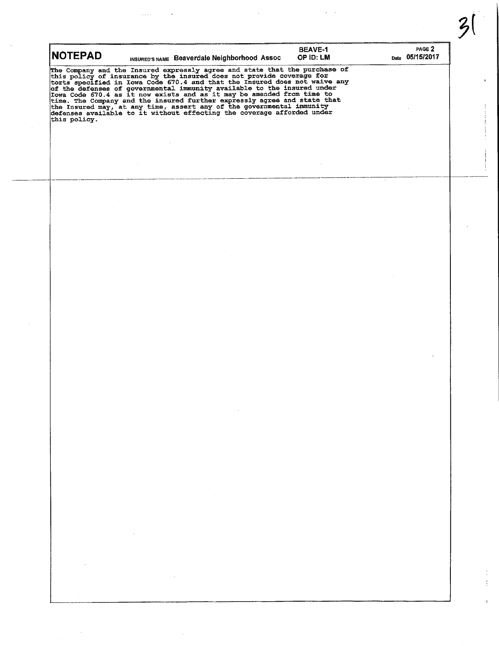| <b>NOTEPAD</b>                                                                                                                                                                                                                                          |                                            | INSURED'S NAME Beaverdale Neighborhood Assoc                                                                                                                          |                                   | <b>BEAVE-1</b><br>OP ID: LM | PAGE 2<br>Date 05/15/2017 |
|---------------------------------------------------------------------------------------------------------------------------------------------------------------------------------------------------------------------------------------------------------|--------------------------------------------|-----------------------------------------------------------------------------------------------------------------------------------------------------------------------|-----------------------------------|-----------------------------|---------------------------|
| The Company and the Insured expressly agree and state that the purchase of<br>this policy of insurance by the insured does not provide coverage for<br>torts specified in Iowa Code 670.4 and that the Insured does not waive any<br>of<br>this policy. |                                            |                                                                                                                                                                       |                                   |                             |                           |
|                                                                                                                                                                                                                                                         |                                            |                                                                                                                                                                       |                                   |                             |                           |
|                                                                                                                                                                                                                                                         |                                            |                                                                                                                                                                       |                                   |                             |                           |
|                                                                                                                                                                                                                                                         |                                            |                                                                                                                                                                       |                                   |                             |                           |
|                                                                                                                                                                                                                                                         |                                            |                                                                                                                                                                       |                                   |                             |                           |
|                                                                                                                                                                                                                                                         |                                            |                                                                                                                                                                       |                                   |                             |                           |
|                                                                                                                                                                                                                                                         |                                            |                                                                                                                                                                       |                                   |                             |                           |
|                                                                                                                                                                                                                                                         |                                            |                                                                                                                                                                       |                                   |                             |                           |
| $\alpha$ , $\alpha$ , $\alpha$                                                                                                                                                                                                                          |                                            |                                                                                                                                                                       | the control of the control of the |                             |                           |
|                                                                                                                                                                                                                                                         |                                            |                                                                                                                                                                       |                                   |                             |                           |
|                                                                                                                                                                                                                                                         |                                            | and the state of the state of<br>$\mathcal{L}(\mathcal{L}(\mathcal{L}))$ and $\mathcal{L}(\mathcal{L}(\mathcal{L}))$ . The contribution of $\mathcal{L}(\mathcal{L})$ |                                   |                             |                           |
|                                                                                                                                                                                                                                                         |                                            |                                                                                                                                                                       |                                   |                             |                           |
|                                                                                                                                                                                                                                                         | the control of the state of the control of |                                                                                                                                                                       |                                   |                             |                           |
| $\mathcal{A}(\mathcal{A})$ and                                                                                                                                                                                                                          |                                            | $\mathcal{O}(\mathcal{O}_\mathcal{O})$ . The set of $\mathcal{O}_\mathcal{O}(\mathcal{O}_\mathcal{O})$                                                                |                                   |                             |                           |

 $\begin{array}{c} 1 \\ 1 \\ 2 \end{array}$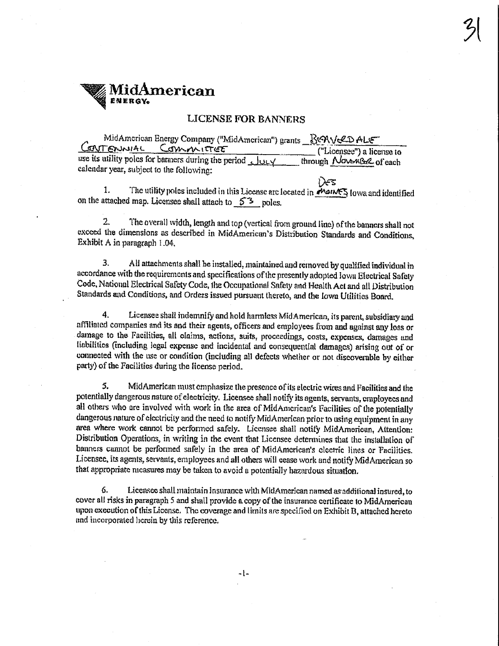# **TidAmerican**

# **LICENSE FOR BANNERS**

MidAmerican Energy Company ("MidAmerican") grants B&NV&D ALE CONTENNIAL COMMITTEE ("Licensee") a license to use its utility poles for barners during the period JULY through NovemBr2 of each calendar year, subject to the following:

1. The utility poles included in this License are located in MoINES lowa and identified on the attached map. Licensee shall attach to  $5^3$  poles.

ነንድ

The overall width, length and top (vertical from ground line) of the banners shall not  $2.$ exceed the dimensions as described in MidAmerican's Distribution Standards and Conditions, Exhibit A in paragraph 1.04.

3. All attachments shall be installed, maintained and removed by qualified individual in accordance with the requirements and specifications of the presently adopted lown Electrical Safety Code, National Electrical Safety Code, the Occupational Safety and Health Act and all Distribution Standards and Conditions, and Orders issued pursuant thereto, and the Iown Utilities Board.

 $4.$ Licensee shall indemnify and hold harmless MidAmerican, its parent, subsidiary and affiliated companies and its and their agents, officers and employees from and against any loss or damage to the Facilities, all claims, actions, suits, proceedings, costs, expenses, damages and liabilities (including legal expense and incidental and consequential damages) arising out of or connected with the use or condition (including all defects whether or not discoverable by either party) of the Facilities during the license period.

5. MidAmerican must emphasize the presence of its electric wires and Facilities and the potentially dangerous nature of electricity. Licensee shall notify its agents, servants, employees and all others who are involved with work in the area of MidAmerican's Facilities of the potentially dangerous nature of electricity and the need to notify MidAmerican prior to using equipment in any area where work cannot be performed safely. Licensee shall notify MidAmerican, Attention: Distribution Operations, in writing in the event that Licensee determines that the installation of banners cannot be performed safely in the area of MidAmerican's electric lines or Pacilities. Licensee, its agents, servants, employees and all others will cease work and notify MidAmerican so that appropriate measures may be taken to avoid a potentially hazardous situation.

6. Licensee shall maintain insurance with MidAmerican named as additional insured, to cover all risks in paragraph 5 and shall provide a copy of the insurance certificate to MidAmerican upon execution of this License. The coverage and limits are specified on Exhibit B, attached hereto and incorporated herein by this reference.